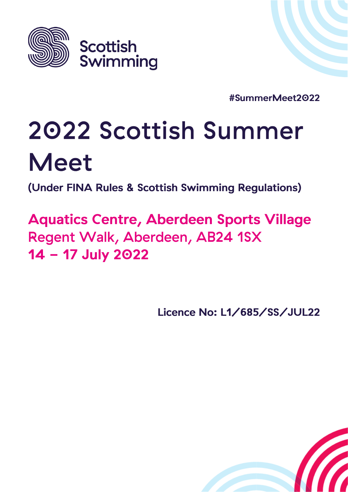

#SummerMeet2022

# 2022 Scottish Summer **Meet**

(Under FINA Rules & Scottish Swimming Regulations)

**Aquatics Centre, Aberdeen Sports Village** Regent Walk, Aberdeen, AB24 1SX 14 - 17 July 2022

Licence No: L1/685/SS/JUL22

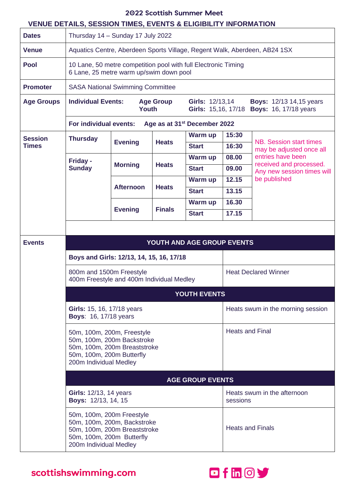#### $\overline{a}$  $\mathbf{A}$

|                   |                                                                                                                                                 |                                                                           |                             | 2022 Scottish Summer Meet |                                         |                                                                             |
|-------------------|-------------------------------------------------------------------------------------------------------------------------------------------------|---------------------------------------------------------------------------|-----------------------------|---------------------------|-----------------------------------------|-----------------------------------------------------------------------------|
| <b>Dates</b>      | <b>VENUE DETAILS, SESSION TIMES, EVENTS &amp; ELIGIBILITY INFORMATION</b><br>Thursday 14 - Sunday 17 July 2022                                  |                                                                           |                             |                           |                                         |                                                                             |
| <b>Venue</b>      |                                                                                                                                                 | Aquatics Centre, Aberdeen Sports Village, Regent Walk, Aberdeen, AB24 1SX |                             |                           |                                         |                                                                             |
| <b>Pool</b>       | 10 Lane, 50 metre competition pool with full Electronic Timing<br>6 Lane, 25 metre warm up/swim down pool                                       |                                                                           |                             |                           |                                         |                                                                             |
| <b>Promoter</b>   | <b>SASA National Swimming Committee</b>                                                                                                         |                                                                           |                             |                           |                                         |                                                                             |
| <b>Age Groups</b> | <b>Individual Events:</b><br><b>Age Group</b><br><b>Youth</b>                                                                                   |                                                                           |                             | <b>Girls: 12/13,14</b>    |                                         | <b>Boys: 12/13 14,15 years</b><br>Girls: 15,16, 17/18 Boys: 16, 17/18 years |
|                   | For individual events:<br>Age as at 31 <sup>st</sup> December 2022                                                                              |                                                                           |                             |                           |                                         |                                                                             |
| <b>Session</b>    | <b>Thursday</b>                                                                                                                                 |                                                                           |                             | Warm up                   | 15:30                                   | NB. Session start times                                                     |
| <b>Times</b>      |                                                                                                                                                 | <b>Evening</b>                                                            | <b>Heats</b>                | <b>Start</b>              | 16:30                                   | may be adjusted once all                                                    |
|                   | Friday -                                                                                                                                        | <b>Morning</b>                                                            | <b>Heats</b>                | Warm up                   | 08.00                                   | entries have been<br>received and processed.                                |
|                   | <b>Sunday</b>                                                                                                                                   |                                                                           |                             | <b>Start</b>              | 09.00                                   | Any new session times will                                                  |
|                   |                                                                                                                                                 | <b>Afternoon</b>                                                          | <b>Heats</b>                | Warm up                   | 12.15                                   | be published                                                                |
|                   |                                                                                                                                                 |                                                                           |                             | <b>Start</b>              | 13.15                                   |                                                                             |
|                   |                                                                                                                                                 | <b>Evening</b>                                                            | <b>Finals</b>               | Warm up                   | 16.30                                   |                                                                             |
|                   |                                                                                                                                                 |                                                                           |                             | <b>Start</b>              | 17.15                                   |                                                                             |
|                   |                                                                                                                                                 |                                                                           |                             |                           |                                         |                                                                             |
| <b>Events</b>     | <b>YOUTH AND AGE GROUP EVENTS</b>                                                                                                               |                                                                           |                             |                           |                                         |                                                                             |
|                   | Boys and Girls: 12/13, 14, 15, 16, 17/18                                                                                                        |                                                                           |                             |                           |                                         |                                                                             |
|                   | 800m and 1500m Freestyle<br>400m Freestyle and 400m Individual Medley                                                                           |                                                                           | <b>Heat Declared Winner</b> |                           |                                         |                                                                             |
|                   | YOUTH EVENTS                                                                                                                                    |                                                                           |                             |                           |                                         |                                                                             |
|                   | Girls: 15, 16, 17/18 years<br><b>Boys: 16, 17/18 years</b>                                                                                      |                                                                           |                             |                           | Heats swum in the morning session       |                                                                             |
|                   | 50m, 100m, 200m, Freestyle<br>50m, 100m, 200m Backstroke<br>50m, 100m, 200m Breaststroke<br>50m, 100m, 200m Butterfly<br>200m Individual Medley |                                                                           |                             |                           | <b>Heats and Final</b>                  |                                                                             |
|                   | <b>AGE GROUP EVENTS</b>                                                                                                                         |                                                                           |                             |                           |                                         |                                                                             |
|                   | <b>Girls: 12/13, 14 years</b><br><b>Boys: 12/13, 14, 15</b>                                                                                     |                                                                           |                             |                           | Heats swum in the afternoon<br>sessions |                                                                             |
|                   | 50m, 100m, 200m Freestyle<br>50m, 100m, 200m, Backstroke<br>50m, 100m, 200m Breaststroke                                                        |                                                                           |                             | <b>Heats and Finals</b>   |                                         |                                                                             |

scottishswimming.com

50m, 100m, 200m Butterfly<br>200m Individual Medley

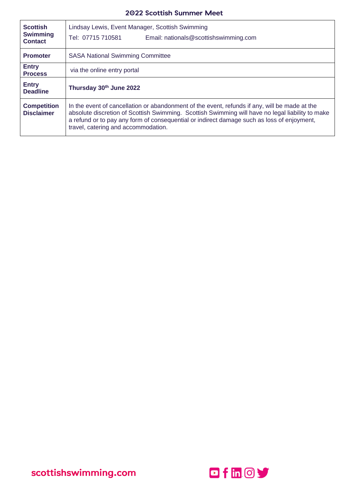| <b>Scottish</b><br><b>Swimming</b><br><b>Contact</b> | Lindsay Lewis, Event Manager, Scottish Swimming<br>Tel: 07715 710581<br>Email: nationals@scottishswimming.com                                                                                                                                                                                                                          |
|------------------------------------------------------|----------------------------------------------------------------------------------------------------------------------------------------------------------------------------------------------------------------------------------------------------------------------------------------------------------------------------------------|
| <b>Promoter</b>                                      | <b>SASA National Swimming Committee</b>                                                                                                                                                                                                                                                                                                |
| <b>Entry</b><br><b>Process</b>                       | via the online entry portal                                                                                                                                                                                                                                                                                                            |
| <b>Entry</b><br><b>Deadline</b>                      | Thursday 30th June 2022                                                                                                                                                                                                                                                                                                                |
| <b>Competition</b><br><b>Disclaimer</b>              | In the event of cancellation or abandonment of the event, refunds if any, will be made at the<br>absolute discretion of Scottish Swimming. Scottish Swimming will have no legal liability to make<br>a refund or to pay any form of consequential or indirect damage such as loss of enjoyment,<br>travel, catering and accommodation. |

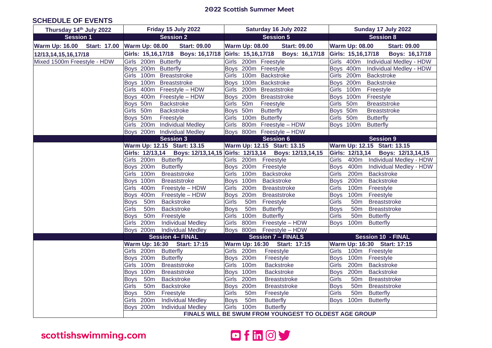#### **SCHEDULE OF EVENTS**

| Thursday 14th July 2022     | Friday 15 July 2022                                     | Saturday 16 July 2022                                                  | Sunday 17 July 2022                                    |
|-----------------------------|---------------------------------------------------------|------------------------------------------------------------------------|--------------------------------------------------------|
| <b>Session 1</b>            | <b>Session 2</b>                                        | <b>Session 5</b>                                                       | <b>Session 8</b>                                       |
|                             | Warm Up: 16.00 Start: 17.00 Warm Up: 08.00 Start: 09.00 | <b>Warm Up: 08.00</b><br><b>Start: 09.00</b>                           | <b>Warm Up: 08.00</b><br><b>Start: 09.00</b>           |
| 12/13, 14, 15, 16, 17/18    |                                                         | Girls: 15,16,17/18  Boys: 16,17/18  Girls: 15,16,17/18  Boys: 16,17/18 | Girls: 15,16,17/18  Boys: 16,17/18                     |
| Mixed 1500m Freestyle - HDW | Girls 200m Butterfly                                    | Girls 200m Freestyle                                                   | Girls 400m Individual Medley - HDW                     |
|                             | Boys 200m Butterfly                                     | Boys 200m Freestyle                                                    | Boys 400m Individual Medley - HDW                      |
|                             | Girls 100m Breaststroke                                 | Girls 100m Backstroke                                                  | Girls 200m<br>Backstroke                               |
|                             | Boys 100m Breaststroke                                  | Boys 100m Backstroke                                                   | Boys 200m<br>Backstroke                                |
|                             | Girls 400m Freestyle - HDW                              | Girls 200m Breaststroke                                                | Girls 100m<br>Freestyle                                |
|                             | Boys 400m Freestyle - HDW                               | Boys 200m Breaststroke                                                 | Boys 100m<br>Freestyle                                 |
|                             | Backstroke<br>Boys 50m                                  | Girls 50m<br>Freestyle                                                 | Girls 50m<br><b>Breaststroke</b>                       |
|                             | Girls 50m Backstroke                                    | <b>Butterfly</b><br>Boys 50m                                           | Boys 50m<br><b>Breaststroke</b>                        |
|                             | Boys 50m Freestyle                                      | Girls 100m Butterfly                                                   | Girls 50m<br><b>Butterfly</b>                          |
|                             | Girls 200m Individual Medley                            | Girls 800m Freestyle - HDW                                             | Boys 100m<br><b>Butterfly</b>                          |
|                             | Boys 200m Individual Medley                             | Boys 800m Freestyle - HDW                                              |                                                        |
|                             | <b>Session 3</b>                                        | <b>Session 6</b>                                                       | Session 9                                              |
|                             | Warm Up: 12.15 Start: 13.15                             | Warm Up: 12.15 Start: 13.15                                            | Warm Up: 12.15 Start: 13.15                            |
|                             |                                                         | Girls: 12/13,14  Boys: 12/13,14,15  Girls: 12/13,14  Boys: 12/13,14,15 | Girls: 12/13,14 Boys: 12/13,14,15                      |
|                             | Girls 200m Butterfly                                    | Girls 200m Freestyle                                                   | Girls 400m Individual Medley - HDW                     |
|                             | Boys 200m Butterfly                                     | Boys 200m Freestyle                                                    | Boys 400m Individual Medley - HDW                      |
|                             | Girls 100m Breaststroke                                 | Girls 100m Backstroke                                                  | Girls 200m Backstroke                                  |
|                             | Boys 100m Breaststroke                                  | Boys 100m Backstroke                                                   | Boys 200m Backstroke                                   |
|                             | Girls 400m<br>Freestyle - HDW                           | Girls 200m Breaststroke                                                | Girls 100m<br>Freestyle                                |
|                             | Boys 400m Freestyle - HDW                               | Boys 200m Breaststroke                                                 | Boys 100m<br>Freestyle                                 |
|                             | Boys 50m<br><b>Backstroke</b>                           | 50m Freestyle<br>Girls                                                 | <b>Girls</b><br>50 <sub>m</sub><br><b>Breaststroke</b> |
|                             | Girls<br>Backstroke<br>50 <sub>m</sub>                  | Boys 50m Butterfly                                                     | <b>Boys</b><br>50m Breaststroke                        |
|                             | Boys 50m Freestyle                                      | Girls 100m Butterfly                                                   | <b>Girls</b><br>50m Butterfly                          |
|                             | Girls 200m<br><b>Individual Medley</b>                  | Girls 800m Freestyle - HDW                                             | Boys 100m Butterfly                                    |
|                             | Boys 200m Individual Medley                             | Boys 800m Freestyle - HDW                                              |                                                        |
|                             | <b>Session 4- FINAL</b>                                 | <b>Session 7 - FINALS</b>                                              | <b>Session 10 - FINAL</b>                              |
|                             | Warm Up: 16:30 Start: 17:15                             | Warm Up: 16:30 Start: 17:15                                            | Warm Up: 16:30 Start: 17:15                            |
|                             | Girls 200m Butterfly                                    | Girls 200m<br>Freestyle                                                | Girls 100m Freestyle                                   |
|                             | Boys 200m<br><b>Butterfly</b>                           | Boys 200m<br>Freestyle                                                 | Boys 100m Freestyle                                    |
|                             | Girls 100m Breaststroke                                 | Girls 100m<br>Backstroke                                               | Girls 200m Backstroke                                  |
|                             | Boys 100m<br><b>Breaststroke</b>                        | Boys 100m<br>Backstroke                                                | Boys 200m<br><b>Backstroke</b>                         |
|                             | Boys 50m<br>Backstroke                                  | Girls 200m<br><b>Breaststroke</b>                                      | Girls<br>50m Breaststroke                              |
|                             | Girls 50m<br>Backstroke                                 | Boys 200m<br><b>Breaststroke</b>                                       | <b>Boys</b><br>50 <sub>m</sub><br><b>Breaststroke</b>  |
|                             | Boys 50m<br>Freestyle                                   | Girls<br>50 <sub>m</sub><br>Freestyle                                  | <b>Girls</b><br>50 <sub>m</sub><br><b>Butterfly</b>    |
|                             | Girls 200m<br><b>Individual Medley</b>                  | <b>Boys</b><br>50 <sub>m</sub><br><b>Butterfly</b>                     | Boys 100m Butterfly                                    |
|                             | <b>Individual Medley</b><br>Boys 200m                   | Girls 100m<br><b>Butterfly</b>                                         |                                                        |
|                             |                                                         | FINALS WILL BE SWUM FROM YOUNGEST TO OLDEST AGE GROUP                  |                                                        |

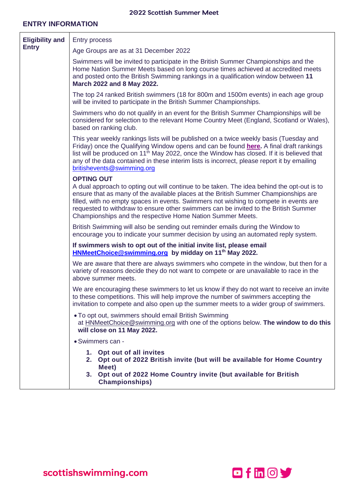#### **ENTRY INFORMATION**

| <b>Eligibility and</b><br><b>Entry</b> | <b>Entry process</b>                                                                                                                                                                                                                                                                                                                                                                                                                                 |  |  |  |  |
|----------------------------------------|------------------------------------------------------------------------------------------------------------------------------------------------------------------------------------------------------------------------------------------------------------------------------------------------------------------------------------------------------------------------------------------------------------------------------------------------------|--|--|--|--|
|                                        | Age Groups are as at 31 December 2022                                                                                                                                                                                                                                                                                                                                                                                                                |  |  |  |  |
|                                        | Swimmers will be invited to participate in the British Summer Championships and the<br>Home Nation Summer Meets based on long course times achieved at accredited meets<br>and posted onto the British Swimming rankings in a qualification window between 11<br>March 2022 and 8 May 2022.                                                                                                                                                          |  |  |  |  |
|                                        | The top 24 ranked British swimmers (18 for 800m and 1500m events) in each age group<br>will be invited to participate in the British Summer Championships.                                                                                                                                                                                                                                                                                           |  |  |  |  |
|                                        | Swimmers who do not qualify in an event for the British Summer Championships will be<br>considered for selection to the relevant Home Country Meet (England, Scotland or Wales),<br>based on ranking club.                                                                                                                                                                                                                                           |  |  |  |  |
|                                        | This year weekly rankings lists will be published on a twice weekly basis (Tuesday and<br>Friday) once the Qualifying Window opens and can be found here. A final draft rankings<br>list will be produced on 11 <sup>th</sup> May 2022, once the Window has closed. If it is believed that<br>any of the data contained in these interim lists is incorrect, please report it by emailing<br>britishevents@swimming.org                              |  |  |  |  |
|                                        | <b>OPTING OUT</b><br>A dual approach to opting out will continue to be taken. The idea behind the opt-out is to<br>ensure that as many of the available places at the British Summer Championships are<br>filled, with no empty spaces in events. Swimmers not wishing to compete in events are<br>requested to withdraw to ensure other swimmers can be invited to the British Summer<br>Championships and the respective Home Nation Summer Meets. |  |  |  |  |
|                                        | British Swimming will also be sending out reminder emails during the Window to<br>encourage you to indicate your summer decision by using an automated reply system.                                                                                                                                                                                                                                                                                 |  |  |  |  |
|                                        | If swimmers wish to opt out of the initial invite list, please email<br>HNMeetChoice@swimming.org by midday on 11 <sup>th</sup> May 2022.                                                                                                                                                                                                                                                                                                            |  |  |  |  |
|                                        | We are aware that there are always swimmers who compete in the window, but then for a<br>variety of reasons decide they do not want to compete or are unavailable to race in the<br>above summer meets.                                                                                                                                                                                                                                              |  |  |  |  |
|                                        | We are encouraging these swimmers to let us know if they do not want to receive an invite<br>to these competitions. This will help improve the number of swimmers accepting the<br>invitation to compete and also open up the summer meets to a wider group of swimmers.                                                                                                                                                                             |  |  |  |  |
|                                        | • To opt out, swimmers should email British Swimming<br>at <b>HNMeetChoice@swimming.org</b> with one of the options below. The window to do this<br>will close on 11 May 2022.                                                                                                                                                                                                                                                                       |  |  |  |  |
|                                        | • Swimmers can -                                                                                                                                                                                                                                                                                                                                                                                                                                     |  |  |  |  |
|                                        | 1. Opt out of all invites<br>2. Opt out of 2022 British invite (but will be available for Home Country<br>Meet)<br>3. Opt out of 2022 Home Country invite (but available for British<br><b>Championships)</b>                                                                                                                                                                                                                                        |  |  |  |  |

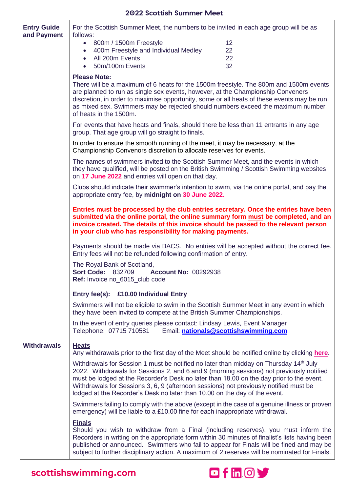| <b>Entry Guide</b> | For the Scottish Summer Meet, the numbers to be invited in each age group will be as                                                                                                                                                                                                                                                                                                                                                                             |                                       |  |
|--------------------|------------------------------------------------------------------------------------------------------------------------------------------------------------------------------------------------------------------------------------------------------------------------------------------------------------------------------------------------------------------------------------------------------------------------------------------------------------------|---------------------------------------|--|
| and Payment        | follows:<br>• 800m / 1500m Freestyle                                                                                                                                                                                                                                                                                                                                                                                                                             | 12                                    |  |
|                    | 400m Freestyle and Individual Medley<br>$\bullet$                                                                                                                                                                                                                                                                                                                                                                                                                | 22                                    |  |
|                    | All 200m Events<br>$\bullet$                                                                                                                                                                                                                                                                                                                                                                                                                                     | 22                                    |  |
|                    | 50m/100m Events<br>$\bullet$                                                                                                                                                                                                                                                                                                                                                                                                                                     | 32                                    |  |
|                    | <b>Please Note:</b><br>There will be a maximum of 6 heats for the 1500m freestyle. The 800m and 1500m events<br>are planned to run as single sex events, however, at the Championship Conveners<br>discretion, in order to maximise opportunity, some or all heats of these events may be run<br>as mixed sex. Swimmers may be rejected should numbers exceed the maximum number<br>of heats in the 1500m.                                                       |                                       |  |
|                    | For events that have heats and finals, should there be less than 11 entrants in any age<br>group. That age group will go straight to finals.                                                                                                                                                                                                                                                                                                                     |                                       |  |
|                    | In order to ensure the smooth running of the meet, it may be necessary, at the<br>Championship Convenors discretion to allocate reserves for events.                                                                                                                                                                                                                                                                                                             |                                       |  |
|                    | The names of swimmers invited to the Scottish Summer Meet, and the events in which<br>they have qualified, will be posted on the British Swimming / Scottish Swimming websites<br>on 17 June 2022 and entries will open on that day.                                                                                                                                                                                                                             |                                       |  |
|                    | Clubs should indicate their swimmer's intention to swim, via the online portal, and pay the<br>appropriate entry fee, by midnight on 30 June 2022.                                                                                                                                                                                                                                                                                                               |                                       |  |
|                    | Entries must be processed by the club entries secretary. Once the entries have been<br>submitted via the online portal, the online summary form must be completed, and an<br>invoice created. The details of this invoice should be passed to the relevant person<br>in your club who has responsibility for making payments.                                                                                                                                    |                                       |  |
|                    | Payments should be made via BACS. No entries will be accepted without the correct fee.<br>Entry fees will not be refunded following confirmation of entry.                                                                                                                                                                                                                                                                                                       |                                       |  |
|                    | The Royal Bank of Scotland,<br><b>Sort Code: 832709</b><br><b>Account No: 00292938</b><br>Ref: Invoice no_6015_club code                                                                                                                                                                                                                                                                                                                                         |                                       |  |
|                    | Entry fee(s): £10.00 Individual Entry                                                                                                                                                                                                                                                                                                                                                                                                                            |                                       |  |
|                    | Swimmers will not be eligible to swim in the Scottish Summer Meet in any event in which<br>they have been invited to compete at the British Summer Championships.                                                                                                                                                                                                                                                                                                |                                       |  |
|                    | In the event of entry queries please contact: Lindsay Lewis, Event Manager<br>Telephone: 07715 710581                                                                                                                                                                                                                                                                                                                                                            | Email: nationals@scottishswimming.com |  |
| <b>Withdrawals</b> | <b>Heats</b><br>Any withdrawals prior to the first day of the Meet should be notified online by clicking here.                                                                                                                                                                                                                                                                                                                                                   |                                       |  |
|                    | Withdrawals for Session 1 must be notified no later than midday on Thursday 14 <sup>th</sup> July<br>2022. Withdrawals for Sessions 2, and 6 and 9 (morning sessions) not previously notified<br>must be lodged at the Recorder's Desk no later than 18.00 on the day prior to the event.<br>Withdrawals for Sessions 3, 6, 9 (afternoon sessions) not previously notified must be<br>lodged at the Recorder's Desk no later than 10.00 on the day of the event. |                                       |  |
|                    | Swimmers failing to comply with the above (except in the case of a genuine illness or proven<br>emergency) will be liable to a £10.00 fine for each inappropriate withdrawal.                                                                                                                                                                                                                                                                                    |                                       |  |
|                    | <b>Finals</b><br>Should you wish to withdraw from a Final (including reserves), you must inform the<br>Recorders in writing on the appropriate form within 30 minutes of finalist's lists having been<br>published or announced. Swimmers who fail to appear for Finals will be fined and may be<br>subject to further disciplinary action. A maximum of 2 reserves will be nominated for Finals.                                                                |                                       |  |

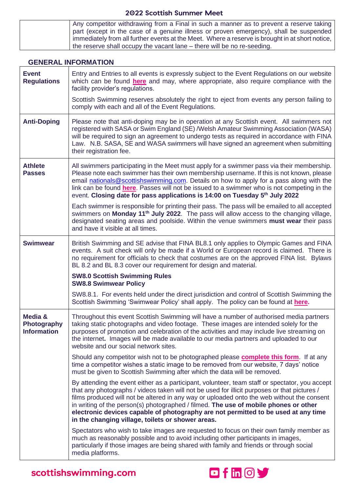| Any competitor withdrawing from a Final in such a manner as to prevent a reserve taking         |
|-------------------------------------------------------------------------------------------------|
| part (except in the case of a genuine illness or proven emergency), shall be suspended          |
| immediately from all further events at the Meet. Where a reserve is brought in at short notice, |
| the reserve shall occupy the vacant lane – there will be no re-seeding.                         |

#### **GENERAL INFORMATION**

| <b>Event</b><br><b>Regulations</b>           | Entry and Entries to all events is expressly subject to the Event Regulations on our website<br>which can be found here and may, where appropriate, also require compliance with the<br>facility provider's regulations.                                                                                                                                                                                                                                                                                                        |
|----------------------------------------------|---------------------------------------------------------------------------------------------------------------------------------------------------------------------------------------------------------------------------------------------------------------------------------------------------------------------------------------------------------------------------------------------------------------------------------------------------------------------------------------------------------------------------------|
|                                              | Scottish Swimming reserves absolutely the right to eject from events any person failing to<br>comply with each and all of the Event Regulations.                                                                                                                                                                                                                                                                                                                                                                                |
| <b>Anti-Doping</b>                           | Please note that anti-doping may be in operation at any Scottish event. All swimmers not<br>registered with SASA or Swim England (SE) /Welsh Amateur Swimming Association (WASA)<br>will be required to sign an agreement to undergo tests as required in accordance with FINA<br>Law. N.B. SASA, SE and WASA swimmers will have signed an agreement when submitting<br>their registration fee.                                                                                                                                 |
| <b>Athlete</b><br><b>Passes</b>              | All swimmers participating in the Meet must apply for a swimmer pass via their membership.<br>Please note each swimmer has their own membership username. If this is not known, please<br>email nationals@scottishswimming.com. Details on how to apply for a pass along with the<br>link can be found here. Passes will not be issued to a swimmer who is not competing in the<br>event. Closing date for pass applications is 14:00 on Tuesday 5 <sup>th</sup> July 2022                                                      |
|                                              | Each swimmer is responsible for printing their pass. The pass will be emailed to all accepted<br>swimmers on Monday 11 <sup>th</sup> July 2022. The pass will allow access to the changing village,<br>designated seating areas and poolside. Within the venue swimmers must wear their pass<br>and have it visible at all times.                                                                                                                                                                                               |
| <b>Swimwear</b>                              | British Swimming and SE advise that FINA BL8.1 only applies to Olympic Games and FINA<br>events. A suit check will only be made if a World or European record is claimed. There is<br>no requirement for officials to check that costumes are on the approved FINA list. Bylaws<br>BL 8.2 and BL 8.3 cover our requirement for design and material.                                                                                                                                                                             |
|                                              | <b>SW8.0 Scottish Swimming Rules</b><br><b>SW8.8 Swimwear Policy</b>                                                                                                                                                                                                                                                                                                                                                                                                                                                            |
|                                              | SW8.8.1. For events held under the direct jurisdiction and control of Scottish Swimming the<br>Scottish Swimming 'Swimwear Policy' shall apply. The policy can be found at here.                                                                                                                                                                                                                                                                                                                                                |
| Media &<br>Photography<br><b>Information</b> | Throughout this event Scottish Swimming will have a number of authorised media partners<br>taking static photographs and video footage. These images are intended solely for the<br>purposes of promotion and celebration of the activities and may include live streaming on<br>the internet. Images will be made available to our media partners and uploaded to our<br>website and our social network sites.                                                                                                                 |
|                                              | Should any competitor wish not to be photographed please <b>complete this form</b> . If at any<br>time a competitor wishes a static image to be removed from our website, 7 days' notice<br>must be given to Scottish Swimming after which the data will be removed.                                                                                                                                                                                                                                                            |
|                                              | By attending the event either as a participant, volunteer, team staff or spectator, you accept<br>that any photographs / videos taken will not be used for illicit purposes or that pictures /<br>films produced will not be altered in any way or uploaded onto the web without the consent<br>in writing of the person(s) photographed / filmed. The use of mobile phones or other<br>electronic devices capable of photography are not permitted to be used at any time<br>in the changing village, toilets or shower areas. |
|                                              | Spectators who wish to take images are requested to focus on their own family member as<br>much as reasonably possible and to avoid including other participants in images,<br>particularly if those images are being shared with family and friends or through social<br>media platforms.                                                                                                                                                                                                                                      |